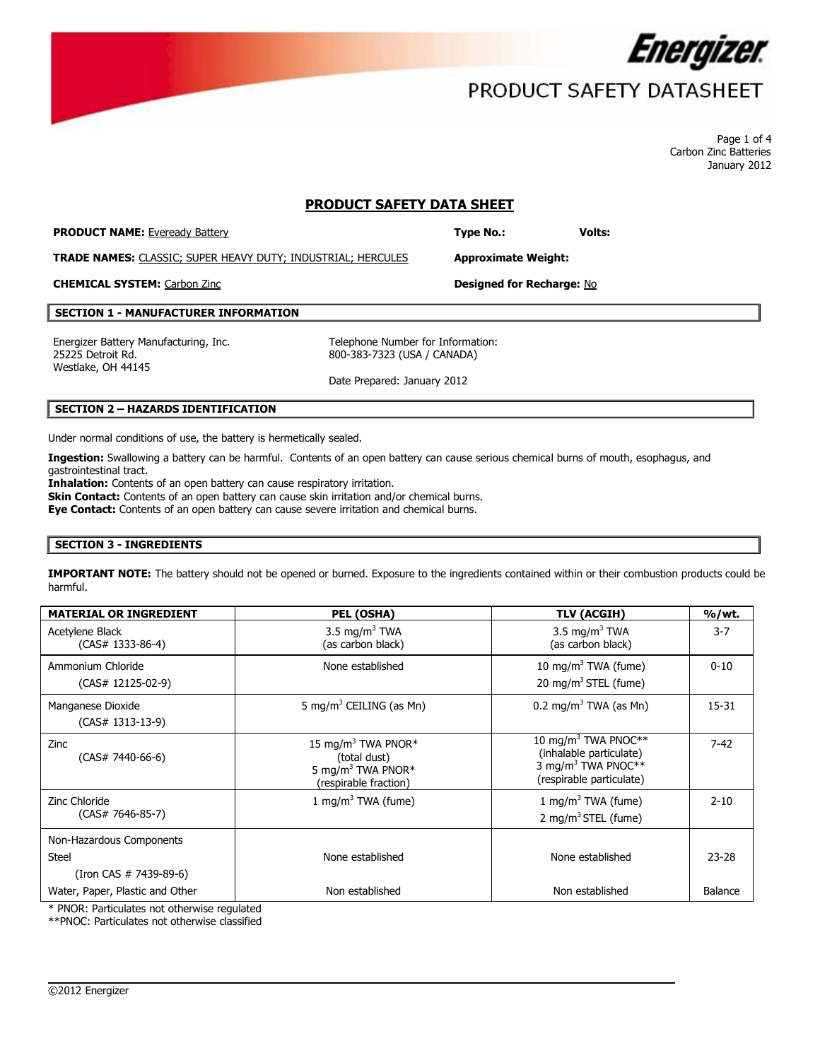

## PRODUCT SAFETY DATASHEET

Page 1 of 4 Carbon Zinc Batteries January 2012

## **PRODUCT SAFETY DATA SHEET**

**PRODUCT NAME:** Eveready Battery **Type No.: Type No.: Volts:** 

**TRADE NAMES:** CLASSIC; SUPER HEAVY DUTY; INDUSTRIAL; HERCULES **Approximate Weight:**

**CHEMICAL SYSTEM:** Carbon Zinc **Designed for Recharge:** No

#### **SECTION 1 - MANUFACTURER INFORMATION**

Energizer Battery Manufacturing, Inc. Telephone Number for Information: 25225 Detroit Rd. Westlake, OH 44145

800-383-7323 (USA / CANADA)

Date Prepared: January 2012

#### **SECTION 2 – HAZARDS IDENTIFICATION**

Under normal conditions of use, the battery is hermetically sealed.

**Ingestion:** Swallowing a battery can be harmful. Contents of an open battery can cause serious chemical burns of mouth, esophagus, and gastrointestinal tract.

Inhalation: Contents of an open battery can cause respiratory irritation.

**Skin Contact:** Contents of an open battery can cause skin irritation and/or chemical burns.

**Eye Contact:** Contents of an open battery can cause severe irritation and chemical burns.

### **SECTION 3 - INGREDIENTS**

**IMPORTANT NOTE:** The battery should not be opened or burned. Exposure to the ingredients contained within or their combustion products could be harmful.

| <b>MATERIAL OR INGREDIENT</b>                                           | PEL (OSHA)                                                                                               | <b>TLV (ACGIH)</b>                                                                                                       | $%$ /wt.  |
|-------------------------------------------------------------------------|----------------------------------------------------------------------------------------------------------|--------------------------------------------------------------------------------------------------------------------------|-----------|
| Acetylene Black<br>$(CAS# 1333-86-4)$                                   | 3.5 mg/m <sup>3</sup> TWA<br>(as carbon black)                                                           | 3.5 mg/m <sup>3</sup> TWA<br>(as carbon black)                                                                           | $3 - 7$   |
| Ammonium Chloride<br>$(CAS# 12125-02-9)$                                | None established                                                                                         | 10 mg/m <sup>3</sup> TWA (fume)<br>20 mg/m <sup>3</sup> STEL (fume)                                                      | $0 - 10$  |
| Manganese Dioxide<br>$(CAS# 1313-13-9)$                                 | 5 mg/m <sup>3</sup> CEILING (as Mn)                                                                      | $0.2 \text{ mg/m}^3$ TWA (as Mn)                                                                                         | 15-31     |
| Zinc<br>(CAS# 7440-66-6)                                                | 15 mg/m <sup>3</sup> TWA PNOR*<br>(total dust)<br>5 mg/m <sup>3</sup> TWA PNOR*<br>(respirable fraction) | 10 mg/m <sup>3</sup> TWA PNOC**<br>(inhalable particulate)<br>3 mg/m <sup>3</sup> TWA PNOC**<br>(respirable particulate) | $7 - 42$  |
| Zinc Chloride<br>$(CAS# 7646-85-7)$                                     | 1 mg/m <sup>3</sup> TWA (fume)                                                                           | 1 mg/m <sup>3</sup> TWA (fume)<br>2 mg/m <sup>3</sup> STEL (fume)                                                        | $2 - 10$  |
| Non-Hazardous Components<br><b>Steel</b><br>$($ Iron CAS $#$ 7439-89-6) | None established                                                                                         | None established                                                                                                         | $23 - 28$ |
| Water, Paper, Plastic and Other                                         | Non established<br>$\cdot$ $\cdot$ $\cdot$                                                               | Non established                                                                                                          | Balance   |

 $\overline{\phantom{a}}$ 

\* PNOR: Particulates not otherwise regulated

\*\*PNOC: Particulates not otherwise classified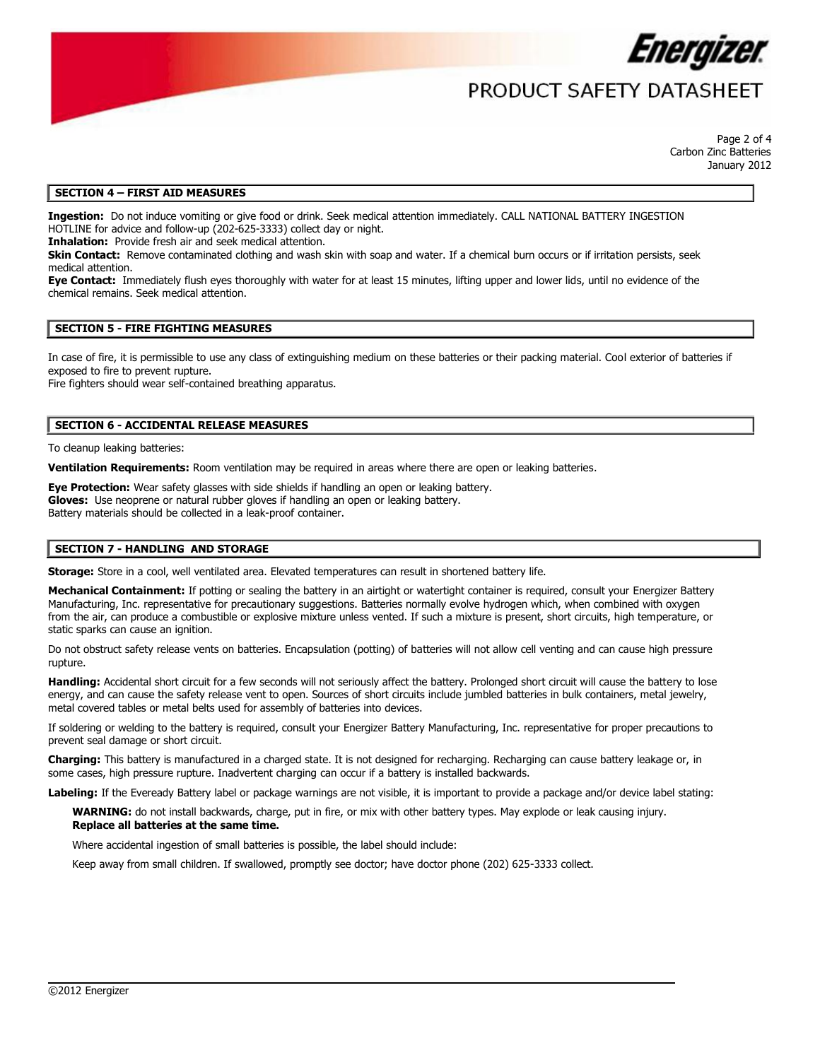

## PRODUCT SAFFTY DATASHFFT

Page 2 of 4 Carbon Zinc Batteries January 2012

#### **SECTION 4 – FIRST AID MEASURES**

**Ingestion:** Do not induce vomiting or give food or drink. Seek medical attention immediately. CALL NATIONAL BATTERY INGESTION HOTLINE for advice and follow-up (202-625-3333) collect day or night.

**Inhalation:** Provide fresh air and seek medical attention.

**Skin Contact:** Remove contaminated clothing and wash skin with soap and water. If a chemical burn occurs or if irritation persists, seek medical attention.

**Eye Contact:** Immediately flush eyes thoroughly with water for at least 15 minutes, lifting upper and lower lids, until no evidence of the chemical remains. Seek medical attention.

#### **SECTION 5 - FIRE FIGHTING MEASURES**

In case of fire, it is permissible to use any class of extinguishing medium on these batteries or their packing material. Cool exterior of batteries if exposed to fire to prevent rupture.

Fire fighters should wear self-contained breathing apparatus.

#### **SECTION 6 - ACCIDENTAL RELEASE MEASURES**

To cleanup leaking batteries:

**Ventilation Requirements:** Room ventilation may be required in areas where there are open or leaking batteries.

**Eye Protection:** Wear safety glasses with side shields if handling an open or leaking battery. **Gloves:** Use neoprene or natural rubber gloves if handling an open or leaking battery. Battery materials should be collected in a leak-proof container.

#### **SECTION 7 - HANDLING AND STORAGE**

**Storage:** Store in a cool, well ventilated area. Elevated temperatures can result in shortened battery life.

Mechanical Containment: If potting or sealing the battery in an airtight or watertight container is required, consult your Energizer Battery Manufacturing, Inc. representative for precautionary suggestions. Batteries normally evolve hydrogen which, when combined with oxygen from the air, can produce a combustible or explosive mixture unless vented. If such a mixture is present, short circuits, high temperature, or static sparks can cause an ignition.

Do not obstruct safety release vents on batteries. Encapsulation (potting) of batteries will not allow cell venting and can cause high pressure rupture.

**Handling:** Accidental short circuit for a few seconds will not seriously affect the battery. Prolonged short circuit will cause the battery to lose energy, and can cause the safety release vent to open. Sources of short circuits include jumbled batteries in bulk containers, metal jewelry, metal covered tables or metal belts used for assembly of batteries into devices.

If soldering or welding to the battery is required, consult your Energizer Battery Manufacturing, Inc. representative for proper precautions to prevent seal damage or short circuit.

**Charging:** This battery is manufactured in a charged state. It is not designed for recharging. Recharging can cause battery leakage or, in some cases, high pressure rupture. Inadvertent charging can occur if a battery is installed backwards.

**Labeling:** If the Eveready Battery label or package warnings are not visible, it is important to provide a package and/or device label stating:

 $\overline{\phantom{a}}$ 

**WARNING:** do not install backwards, charge, put in fire, or mix with other battery types. May explode or leak causing injury. **Replace all batteries at the same time.**

Where accidental ingestion of small batteries is possible, the label should include:

Keep away from small children. If swallowed, promptly see doctor; have doctor phone (202) 625-3333 collect.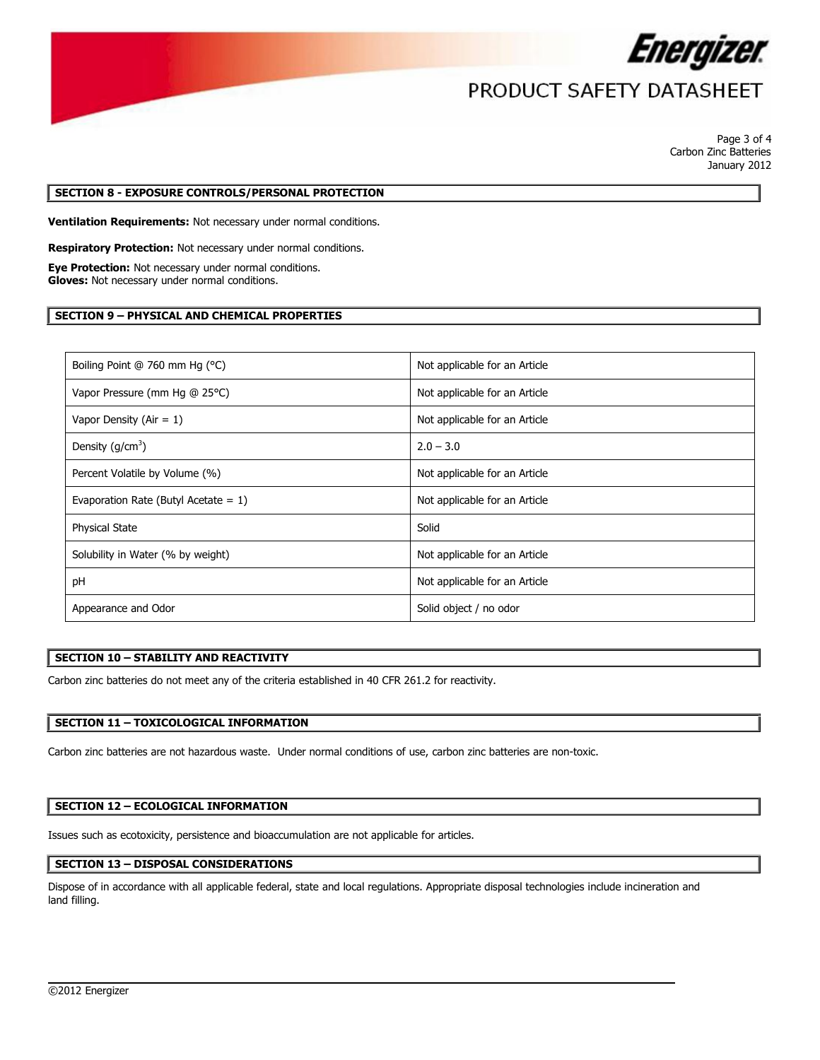

# PRODUCT SAFETY DATASHEET

Page 3 of 4 Carbon Zinc Batteries January 2012

#### **SECTION 8 - EXPOSURE CONTROLS/PERSONAL PROTECTION**

**Ventilation Requirements:** Not necessary under normal conditions.

**Respiratory Protection:** Not necessary under normal conditions.

**Eye Protection:** Not necessary under normal conditions. **Gloves:** Not necessary under normal conditions.

### **SECTION 9 – PHYSICAL AND CHEMICAL PROPERTIES**

| Boiling Point @ 760 mm Hg (°C)          | Not applicable for an Article |
|-----------------------------------------|-------------------------------|
| Vapor Pressure (mm Hg @ 25°C)           | Not applicable for an Article |
| Vapor Density (Air = $1$ )              | Not applicable for an Article |
| Density $(g/cm^3)$                      | $2.0 - 3.0$                   |
| Percent Volatile by Volume (%)          | Not applicable for an Article |
| Evaporation Rate (Butyl Acetate $= 1$ ) | Not applicable for an Article |
| <b>Physical State</b>                   | Solid                         |
| Solubility in Water (% by weight)       | Not applicable for an Article |
| pH                                      | Not applicable for an Article |
| Appearance and Odor                     | Solid object / no odor        |

## **SECTION 10 – STABILITY AND REACTIVITY**

Carbon zinc batteries do not meet any of the criteria established in 40 CFR 261.2 for reactivity.

#### **SECTION 11 – TOXICOLOGICAL INFORMATION**

Carbon zinc batteries are not hazardous waste. Under normal conditions of use, carbon zinc batteries are non-toxic.

#### **SECTION 12 – ECOLOGICAL INFORMATION**

Issues such as ecotoxicity, persistence and bioaccumulation are not applicable for articles.

#### **SECTION 13 – DISPOSAL CONSIDERATIONS**

Dispose of in accordance with all applicable federal, state and local regulations. Appropriate disposal technologies include incineration and land filling.

 $\overline{\phantom{a}}$